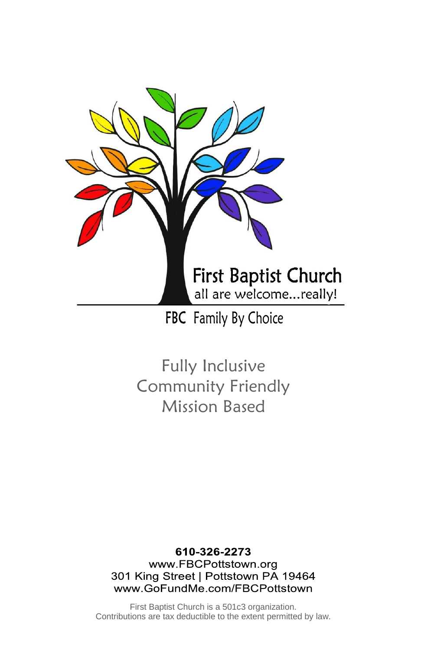

Fully Inclusive Community Friendly Mission Based

#### 610-326-2273 www.FBCPottstown.org 301 King Street | Pottstown PA 19464 www.GoFundMe.com/FBCPottstown

First Baptist Church is a 501c3 organization. Contributions are tax deductible to the extent permitted by law.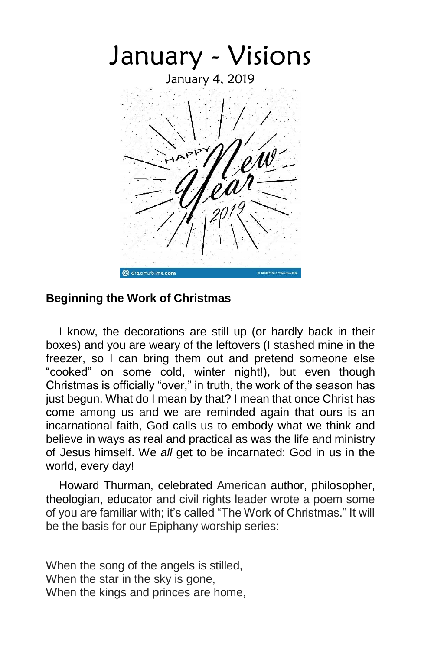

#### **Beginning the Work of Christmas**

 I know, the decorations are still up (or hardly back in their boxes) and you are weary of the leftovers (I stashed mine in the freezer, so I can bring them out and pretend someone else "cooked" on some cold, winter night!), but even though Christmas is officially "over," in truth, the work of the season has just begun. What do I mean by that? I mean that once Christ has come among us and we are reminded again that ours is an incarnational faith, God calls us to embody what we think and believe in ways as real and practical as was the life and ministry of Jesus himself. We *all* get to be incarnated: God in us in the world, every day!

 Howard Thurman, celebrated American author, [philosopher,](https://en.wikiquote.org/wiki/Philosopher) [theologian,](https://en.wikiquote.org/wiki/Theologian) educator and civil rights leader wrote a poem some of you are familiar with; it's called "The Work of Christmas." It will be the basis for our Epiphany worship series:

When the song of the angels is stilled, When the star in the sky is gone, When the kings and princes are home,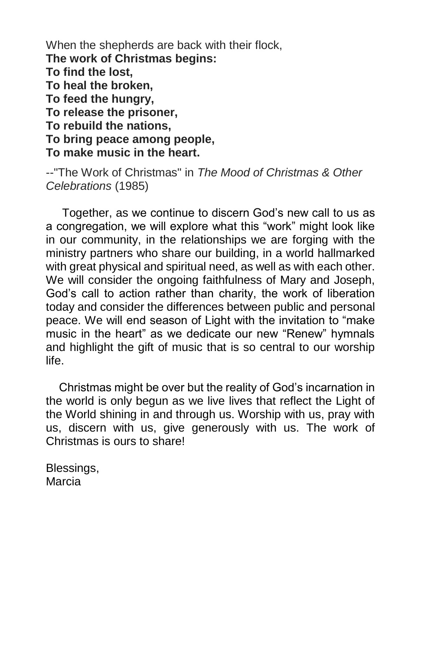When the shepherds are back with their flock, **The work of Christmas begins: To find the lost, To heal the broken, To feed the hungry, To release the prisoner, To rebuild the nations, To bring peace among people, To make music in the heart.**

--"The Work of Christmas" in *The Mood of Christmas & Other Celebrations* (1985)

 Together, as we continue to discern God's new call to us as a congregation, we will explore what this "work" might look like in our community, in the relationships we are forging with the ministry partners who share our building, in a world hallmarked with great physical and spiritual need, as well as with each other. We will consider the ongoing faithfulness of Mary and Joseph, God's call to action rather than charity, the work of liberation today and consider the differences between public and personal peace. We will end season of Light with the invitation to "make music in the heart" as we dedicate our new "Renew" hymnals and highlight the gift of music that is so central to our worship life.

 Christmas might be over but the reality of God's incarnation in the world is only begun as we live lives that reflect the Light of the World shining in and through us. Worship with us, pray with us, discern with us, give generously with us. The work of Christmas is ours to share!

Blessings, Marcia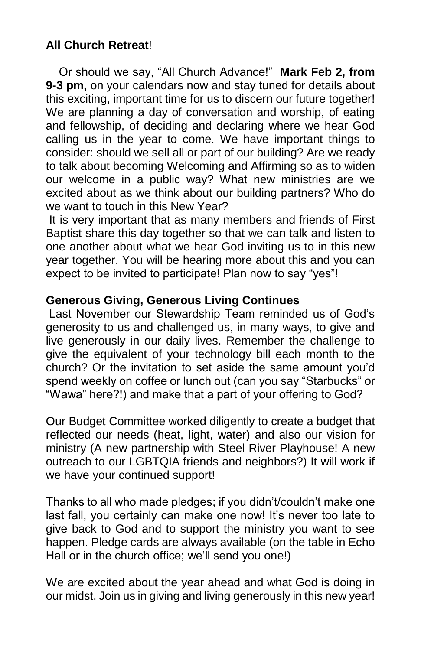### **All Church Retreat**!

 Or should we say, "All Church Advance!" **Mark Feb 2, from 9-3 pm,** on your calendars now and stay tuned for details about this exciting, important time for us to discern our future together! We are planning a day of conversation and worship, of eating and fellowship, of deciding and declaring where we hear God calling us in the year to come. We have important things to consider: should we sell all or part of our building? Are we ready to talk about becoming Welcoming and Affirming so as to widen our welcome in a public way? What new ministries are we excited about as we think about our building partners? Who do we want to touch in this New Year?

It is very important that as many members and friends of First Baptist share this day together so that we can talk and listen to one another about what we hear God inviting us to in this new year together. You will be hearing more about this and you can expect to be invited to participate! Plan now to say "yes"!

#### **Generous Giving, Generous Living Continues**

Last November our Stewardship Team reminded us of God's generosity to us and challenged us, in many ways, to give and live generously in our daily lives. Remember the challenge to give the equivalent of your technology bill each month to the church? Or the invitation to set aside the same amount you'd spend weekly on coffee or lunch out (can you say "Starbucks" or "Wawa" here?!) and make that a part of your offering to God?

Our Budget Committee worked diligently to create a budget that reflected our needs (heat, light, water) and also our vision for ministry (A new partnership with Steel River Playhouse! A new outreach to our LGBTQIA friends and neighbors?) It will work if we have your continued support!

Thanks to all who made pledges; if you didn't/couldn't make one last fall, you certainly can make one now! It's never too late to give back to God and to support the ministry you want to see happen. Pledge cards are always available (on the table in Echo Hall or in the church office; we'll send you one!)

We are excited about the year ahead and what God is doing in our midst. Join us in giving and living generously in this new year!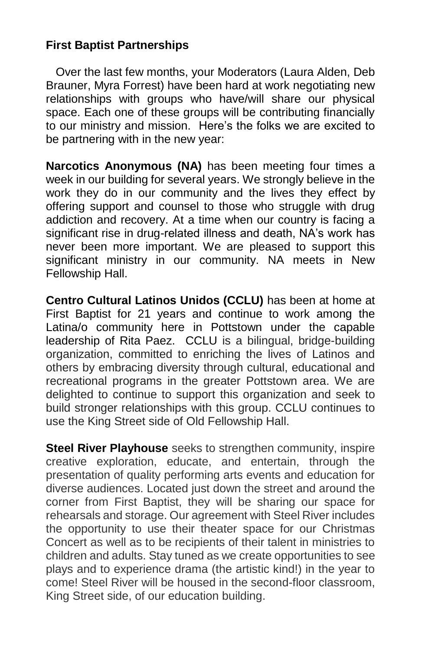### **First Baptist Partnerships**

 Over the last few months, your Moderators (Laura Alden, Deb Brauner, Myra Forrest) have been hard at work negotiating new relationships with groups who have/will share our physical space. Each one of these groups will be contributing financially to our ministry and mission. Here's the folks we are excited to be partnering with in the new year:

**Narcotics Anonymous (NA)** has been meeting four times a week in our building for several years. We strongly believe in the work they do in our community and the lives they effect by offering support and counsel to those who struggle with drug addiction and recovery. At a time when our country is facing a significant rise in drug-related illness and death, NA's work has never been more important. We are pleased to support this significant ministry in our community. NA meets in New Fellowship Hall.

**Centro Cultural Latinos Unidos (CCLU)** has been at home at First Baptist for 21 years and continue to work among the Latina/o community here in Pottstown under the capable leadership of Rita Paez. CCLU is a bilingual, bridge-building organization, committed to enriching the lives of Latinos and others by embracing diversity through cultural, educational and recreational programs in the greater Pottstown area. We are delighted to continue to support this organization and seek to build stronger relationships with this group. CCLU continues to use the King Street side of Old Fellowship Hall.

**Steel River Playhouse** seeks to strengthen community, inspire creative exploration, educate, and entertain, through the presentation of quality performing arts events and education for diverse audiences. Located just down the street and around the corner from First Baptist, they will be sharing our space for rehearsals and storage. Our agreement with Steel River includes the opportunity to use their theater space for our Christmas Concert as well as to be recipients of their talent in ministries to children and adults. Stay tuned as we create opportunities to see plays and to experience drama (the artistic kind!) in the year to come! Steel River will be housed in the second-floor classroom, King Street side, of our education building.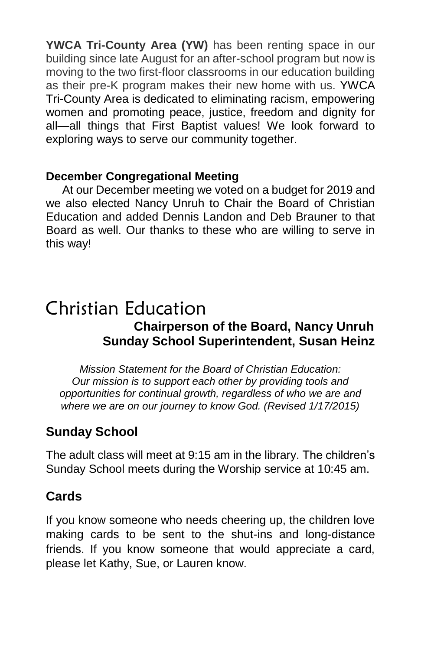**YWCA Tri-County Area (YW)** has been renting space in our building since late August for an after-school program but now is moving to the two first-floor classrooms in our education building as their pre-K program makes their new home with us. YWCA Tri-County Area is dedicated to eliminating racism, empowering women and promoting peace, justice, freedom and dignity for all—all things that First Baptist values! We look forward to exploring ways to serve our community together.

#### **December Congregational Meeting**

At our December meeting we voted on a budget for 2019 and we also elected Nancy Unruh to Chair the Board of Christian Education and added Dennis Landon and Deb Brauner to that Board as well. Our thanks to these who are willing to serve in this way!

# Christian Education  **Chairperson of the Board, Nancy Unruh Sunday School Superintendent, Susan Heinz**

*Mission Statement for the Board of Christian Education: Our mission is to support each other by providing tools and opportunities for continual growth, regardless of who we are and where we are on our journey to know God. (Revised 1/17/2015)*

## **Sunday School**

The adult class will meet at 9:15 am in the library. The children's Sunday School meets during the Worship service at 10:45 am.

## **Cards**

If you know someone who needs cheering up, the children love making cards to be sent to the shut-ins and long-distance friends. If you know someone that would appreciate a card, please let Kathy, Sue, or Lauren know.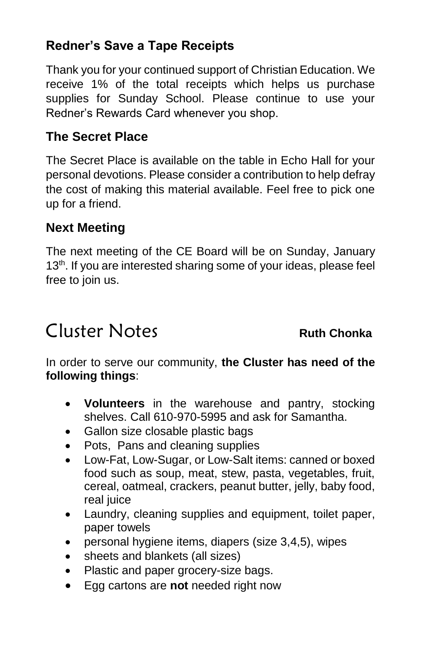## **Redner's Save a Tape Receipts**

Thank you for your continued support of Christian Education. We receive 1% of the total receipts which helps us purchase supplies for Sunday School. Please continue to use your Redner's Rewards Card whenever you shop.

## **The Secret Place**

The Secret Place is available on the table in Echo Hall for your personal devotions. Please consider a contribution to help defray the cost of making this material available. Feel free to pick one up for a friend.

## **Next Meeting**

The next meeting of the CE Board will be on Sunday, January 13<sup>th</sup>. If you are interested sharing some of your ideas, please feel free to join us.

# Cluster Notes **Ruth Chonka**

In order to serve our community, **the Cluster has need of the following things**:

- **Volunteers** in the warehouse and pantry, stocking shelves. Call 610-970-5995 and ask for Samantha.
- Gallon size closable plastic bags
- Pots, Pans and cleaning supplies
- Low-Fat, Low-Sugar, or Low-Salt items: canned or boxed food such as soup, meat, stew, pasta, vegetables, fruit, cereal, oatmeal, crackers, peanut butter, jelly, baby food, real juice
- Laundry, cleaning supplies and equipment, toilet paper, paper towels
- personal hygiene items, diapers (size 3,4,5), wipes
- sheets and blankets (all sizes)
- Plastic and paper grocery-size bags.
- Egg cartons are **not** needed right now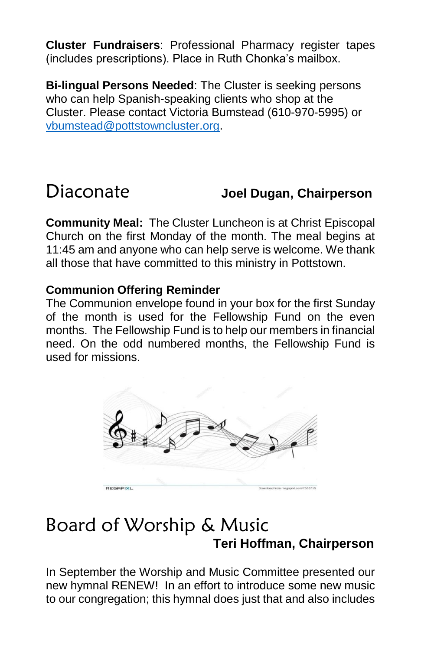**Cluster Fundraisers**: Professional Pharmacy register tapes (includes prescriptions). Place in Ruth Chonka's mailbox.

**Bi-lingual Persons Needed**: The Cluster is seeking persons who can help Spanish-speaking clients who shop at the Cluster. Please contact Victoria Bumstead (610-970-5995) or [vbumstead@pottstowncluster.org.](mailto:vbumstead@pottstowncluster.org)

## Diaconate **Joel Dugan, Chairperson**

**Community Meal:** The Cluster Luncheon is at Christ Episcopal Church on the first Monday of the month. The meal begins at 11:45 am and anyone who can help serve is welcome. We thank all those that have committed to this ministry in Pottstown.

#### **Communion Offering Reminder**

The Communion envelope found in your box for the first Sunday of the month is used for the Fellowship Fund on the even months. The Fellowship Fund is to help our members in financial need. On the odd numbered months, the Fellowship Fund is used for missions.



# Board of Worship & Music  **Teri Hoffman, Chairperson**

In September the Worship and Music Committee presented our new hymnal RENEW! In an effort to introduce some new music to our congregation; this hymnal does just that and also includes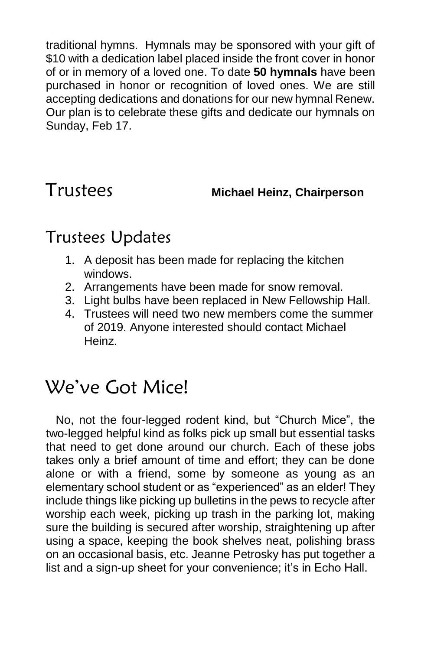traditional hymns. Hymnals may be sponsored with your gift of \$10 with a dedication label placed inside the front cover in honor of or in memory of a loved one. To date **50 hymnals** have been purchased in honor or recognition of loved ones. We are still accepting dedications and donations for our new hymnal Renew. Our plan is to celebrate these gifts and dedicate our hymnals on Sunday, Feb 17.

# Trustees **Michael Heinz, Chairperson**

# Trustees Updates

- 1. A deposit has been made for replacing the kitchen windows.
- 2. Arrangements have been made for snow removal.
- 3. Light bulbs have been replaced in New Fellowship Hall.
- 4. Trustees will need two new members come the summer of 2019. Anyone interested should contact Michael Heinz.

# We've Got Mice!

 No, not the four-legged rodent kind, but "Church Mice", the two-legged helpful kind as folks pick up small but essential tasks that need to get done around our church. Each of these jobs takes only a brief amount of time and effort; they can be done alone or with a friend, some by someone as young as an elementary school student or as "experienced" as an elder! They include things like picking up bulletins in the pews to recycle after worship each week, picking up trash in the parking lot, making sure the building is secured after worship, straightening up after using a space, keeping the book shelves neat, polishing brass on an occasional basis, etc. Jeanne Petrosky has put together a list and a sign-up sheet for your convenience; it's in Echo Hall.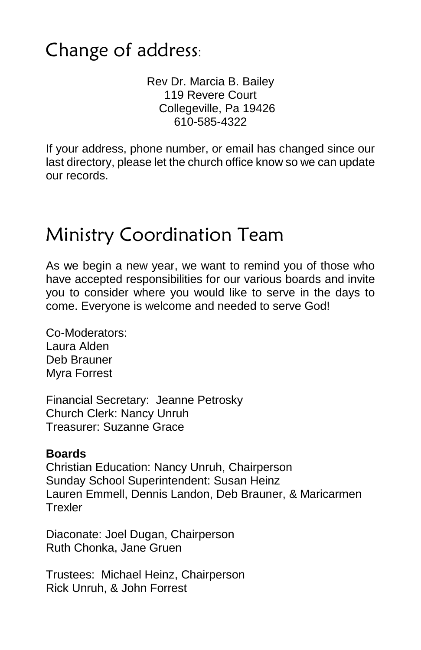# Change of address:

Rev Dr. Marcia B. Bailey 119 Revere Court Collegeville, Pa 19426 610-585-4322

If your address, phone number, or email has changed since our last directory, please let the church office know so we can update our records.

# Ministry Coordination Team

As we begin a new year, we want to remind you of those who have accepted responsibilities for our various boards and invite you to consider where you would like to serve in the days to come. Everyone is welcome and needed to serve God!

Co-Moderators: Laura Alden Deb Brauner Myra Forrest

Financial Secretary: Jeanne Petrosky Church Clerk: Nancy Unruh Treasurer: Suzanne Grace

#### **Boards**

Christian Education: Nancy Unruh, Chairperson Sunday School Superintendent: Susan Heinz Lauren Emmell, Dennis Landon, Deb Brauner, & Maricarmen **Trexler** 

Diaconate: Joel Dugan, Chairperson Ruth Chonka, Jane Gruen

Trustees: Michael Heinz, Chairperson Rick Unruh, & John Forrest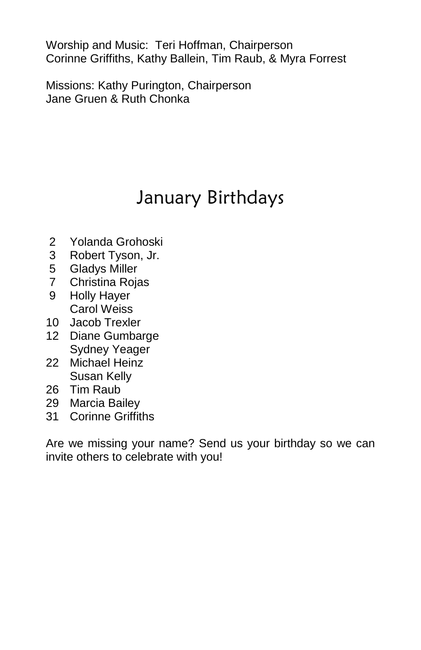Worship and Music: Teri Hoffman, Chairperson Corinne Griffiths, Kathy Ballein, Tim Raub, & Myra Forrest

Missions: Kathy Purington, Chairperson Jane Gruen & Ruth Chonka

# January Birthdays

- 2 Yolanda Grohoski
- 3 Robert Tyson, Jr.
- 5 Gladys Miller
- 7 Christina Rojas
- 9 Holly Hayer Carol Weiss
- 10 Jacob Trexler
- 12 Diane Gumbarge Sydney Yeager
- 22 Michael Heinz Susan Kelly
- 26 Tim Raub
- 29 Marcia Bailey
- 31 Corinne Griffiths

Are we missing your name? Send us your birthday so we can invite others to celebrate with you!